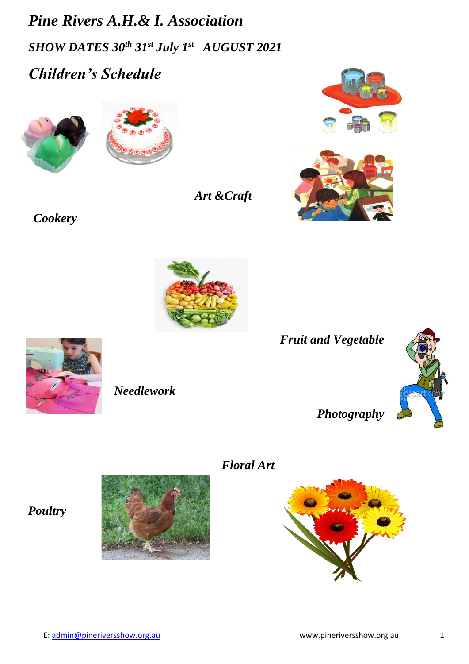*Pine Rivers A.H.& I. Association SHOW DATES 30th 31st July 1st AUGUST 2021 Children's Schedule*





*Art &Craft*





*Cookery* 



*Fruit and Vegetable*



*Photography*

# *Floral Art*



# *Poultry*



*Needlework*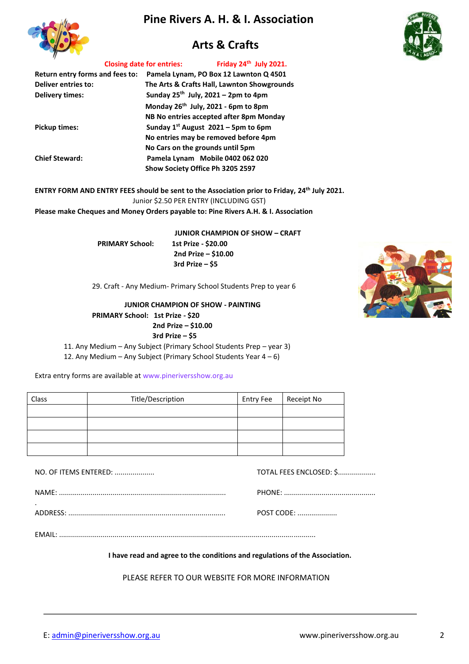# **Pine Rivers A. H. & I. Association**



# **Arts & Crafts**



#### **Closing date for entries: Friday 24th July 2021.**

| Return entry forms and fees to:<br><b>Deliver entries to:</b><br><b>Delivery times:</b> | Pamela Lynam, PO Box 12 Lawnton Q 4501<br>The Arts & Crafts Hall, Lawnton Showgrounds<br>Sunday $25^{th}$ July, $2021 - 2$ pm to 4pm |
|-----------------------------------------------------------------------------------------|--------------------------------------------------------------------------------------------------------------------------------------|
|                                                                                         | Monday 26 <sup>th</sup> July, 2021 - 6pm to 8pm<br>NB No entries accepted after 8pm Monday                                           |
| <b>Pickup times:</b>                                                                    | Sunday $1^{st}$ August 2021 – 5pm to 6pm<br>No entries may be removed before 4pm                                                     |
| <b>Chief Steward:</b>                                                                   | No Cars on the grounds until 5pm<br>Pamela Lynam Mobile 0402 062 020<br>Show Society Office Ph 3205 2597                             |

**ENTRY FORM AND ENTRY FEES should be sent to the Association prior to Friday, 24 th July 2021.** Junior \$2.50 PER ENTRY (INCLUDING GST)

**Please make Cheques and Money Orders payable to: Pine Rivers A.H. & I. Association** 

**JUNIOR CHAMPION OF SHOW – CRAFT** 

 **PRIMARY School: 1st Prize - \$20.00 2nd Prize – \$10.00 3rd Prize – \$5** 

29. Craft - Any Medium- Primary School Students Prep to year 6

**JUNIOR CHAMPION OF SHOW - PAINTING PRIMARY School: 1st Prize - \$20 2nd Prize – \$10.00 3rd Prize – \$5** 11. Any Medium – Any Subject (Primary School Students Prep – year 3)

12. Any Medium – Any Subject (Primary School Students Year 4 – 6)

Extra entry forms are available at www.pineriversshow.org.au

| Class | Title/Description | <b>Entry Fee</b> | Receipt No |
|-------|-------------------|------------------|------------|
|       |                   |                  |            |
|       |                   |                  |            |
|       |                   |                  |            |
|       |                   |                  |            |

.

NO. OF ITEMS ENTERED: .................... TOTAL FEES ENCLOSED: \$...................

NAME: .................................................................................... PHONE: ..............................................

ADDRESS: ............................................................................... POST CODE: ....................

EMAIL: .................................................................................................................................

**I have read and agree to the conditions and regulations of the Association.**

PLEASE REFER TO OUR WEBSITE FOR MORE INFORMATION

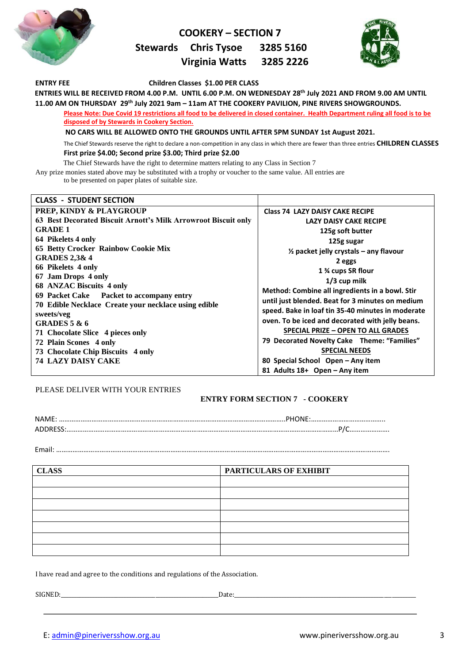

### **COOKERY – SECTION 7**

 **Stewards Chris Tysoe 3285 5160** 

### **Virginia Watts 3285 2226**



**ENTRY FEE Children Classes \$1.00 PER CLASS ENTRIES WILL BE RECEIVED FROM 4.00 P.M. UNTIL 6.00 P.M. ON WEDNESDAY 28th July 2021 AND FROM 9.00 AM UNTIL 11.00 AM ON THURSDAY 29th July 2021 9am – 11am AT THE COOKERY PAVILION, PINE RIVERS SHOWGROUNDS. Please Note: Due Covid 19 restrictions all food to be delivered in closed container. Health Department ruling all food is to be disposed of by Stewards in Cookery Section. NO CARS WILL BE ALLOWED ONTO THE GROUNDS UNTIL AFTER 5PM SUNDAY 1st August 2021.** The Chief Stewards reserve the right to declare a non-competition in any class in which there are fewer than three entries **CHILDREN CLASSES First prize \$4.00; Second prize \$3.00; Third prize \$2.00**  The Chief Stewards have the right to determine matters relating to any Class in Section 7 Any prize monies stated above may be substituted with a trophy or voucher to the same value. All entries are to be presented on paper plates of suitable size. **CLASS - STUDENT SECTION PREP, KINDY & PLAYGROUP 63 Best Decorated Biscuit Arnott's Milk Arrowroot Biscuit only GRADE 1 64 Pikelets 4 only 65 Betty Crocker Rainbow Cookie Mix GRADES 2,3& 4 66 Pikelets 4 only 67 Jam Drops 4 only 68 ANZAC Biscuits 4 only 69 Packet Cake Packet to accompany entry 70 Edible Necklace Create your necklace using edible sweets/veg GRADES 5 & 6 71 Chocolate Slice 4 pieces only 72 Plain Scones 4 only Class 74 LAZY DAISY CAKE RECIPE LAZY DAISY CAKE RECIPE 125g soft butter 125g sugar ½ packet jelly crystals – any flavour 2 eggs 1 ¾ cups SR flour 1/3 cup milk Method: Combine all ingredients in a bowl. Stir until just blended. Beat for 3 minutes on medium speed. Bake in loaf tin 35-40 minutes in moderate oven. To be iced and decorated with jelly beans. SPECIAL PRIZE – OPEN TO ALL GRADES**

**79 Decorated Novelty Cake Theme: "Families" SPECIAL NEEDS 80 Special School Open – Any item**

**81 Adults 18+ Open – Any item**

PLEASE DELIVER WITH YOUR ENTRIES

**73 Chocolate Chip Biscuits 4 only**

**74 LAZY DAISY CAKE**

### **ENTRY FORM SECTION 7 - COOKERY**

| <b>NAN</b> |  |
|------------|--|
|            |  |

Email: ………………………………………………………………………………………………………………………………………………………………….

| <b>CLASS</b> | PARTICULARS OF EXHIBIT |
|--------------|------------------------|
|              |                        |
|              |                        |
|              |                        |
|              |                        |
|              |                        |
|              |                        |
|              |                        |

I have read and agree to the conditions and regulations of the Association.

SIGNED:\_\_\_\_\_\_\_\_\_\_\_\_\_\_\_\_\_\_\_\_\_\_\_\_\_\_\_\_\_\_\_\_\_\_\_\_\_\_\_\_\_\_\_\_\_\_\_\_\_\_\_\_\_\_\_\_\_\_\_\_Date:\_\_\_\_\_\_\_\_\_\_\_\_\_\_\_\_\_\_\_\_\_\_\_\_\_\_\_\_\_\_\_\_\_\_\_\_\_\_\_\_\_\_\_\_\_\_\_\_\_\_\_\_\_\_\_\_\_\_\_\_\_\_\_\_\_\_\_\_\_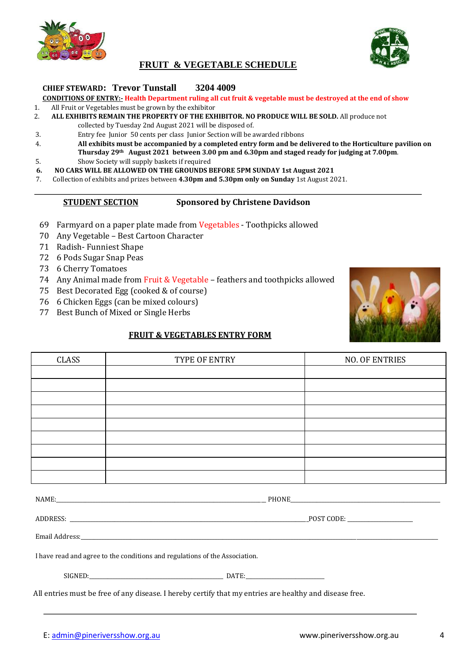

## **FRUIT & VEGETABLE SCHEDULE**

### **CHIEF STEWARD: Trevor Tunstall 3204 4009**

### **CONDITIONS OF ENTRY:- Health Department ruling all cut fruit & vegetable must be destroyed at the end of show**

- 1. All Fruit or Vegetables must be grown by the exhibitor
- 2. **ALL EXHIBITS REMAIN THE PROPERTY OF THE EXHIBITOR. NO PRODUCE WILL BE SOLD.** All produce not collected by Tuesday 2nd August 2021 will be disposed of.
- 3. Entry fee Junior 50 cents per class Junior Section will be awarded ribbons
- 4. **All exhibits must be accompanied by a completed entry form and be delivered to the Horticulture pavilion on Thursday 29th August 2021 between 3.00 pm and 6.30pm and staged ready for judging at 7.00pm**. 5. Show Society will supply baskets if required
- **6. NO CARS WILL BE ALLOWED ON THE GROUNDS BEFORE 5PM SUNDAY 1st August 2021**
- 7. Collection of exhibits and prizes between **4.30pm and 5.30pm only on Sunday** 1st August 2021.

#### **STUDENT SECTION Sponsored by Christene Davidson**

- 69 Farmyard on a paper plate made from Vegetables Toothpicks allowed
- 70 Any Vegetable Best Cartoon Character
- 71 Radish- Funniest Shape
- 72 6 Pods Sugar Snap Peas
- 73 6 Cherry Tomatoes
- 74 Any Animal made from Fruit & Vegetable feathers and toothpicks allowed
- 75 Best Decorated Egg (cooked & of course)
- 76 6 Chicken Eggs (can be mixed colours)
- 77 Best Bunch of Mixed or Single Herbs

### **FRUIT & VEGETABLES ENTRY FORM**

| CLASS | TYPE OF ENTRY | <b>NO. OF ENTRIES</b> |
|-------|---------------|-----------------------|
|       |               |                       |
|       |               |                       |
|       |               |                       |
|       |               |                       |
|       |               |                       |
|       |               |                       |
|       |               |                       |
|       |               |                       |
|       |               |                       |

NAME: THONE

ADDRESS: \_\_\_\_\_\_\_\_\_\_\_\_\_\_\_\_\_\_\_\_\_\_\_\_\_\_\_\_\_\_\_\_\_\_\_\_\_\_\_\_\_\_\_\_\_\_\_\_\_\_\_\_\_\_\_\_\_\_\_\_\_\_\_\_\_\_\_\_\_\_\_\_\_\_\_\_\_\_\_\_\_\_\_\_\_\_\_\_\_\_\_POST CODE: \_\_\_\_\_\_\_\_\_\_\_\_\_\_\_\_\_\_\_\_\_\_\_\_\_

Email Address:\_\_\_\_\_\_\_\_\_\_\_\_\_\_\_\_\_\_\_\_\_\_\_\_\_\_\_\_\_\_\_\_\_\_\_\_\_\_\_\_\_\_\_\_\_\_\_\_\_\_\_\_\_\_\_\_\_\_\_\_\_\_\_\_\_\_\_\_\_\_\_\_\_\_\_\_\_\_\_\_\_\_\_\_\_\_\_\_\_\_\_\_\_\_\_\_\_\_\_\_\_\_\_\_\_\_\_\_\_\_\_\_\_\_\_\_\_\_\_\_\_\_\_\_\_\_\_\_\_\_\_\_\_\_\_\_

I have read and agree to the conditions and regulations of the Association.

| SIGNED: |     | <b>DATE</b><br>. |
|---------|-----|------------------|
| ____    | ___ |                  |

All entries must be free of any disease. I hereby certify that my entries are healthy and disease free.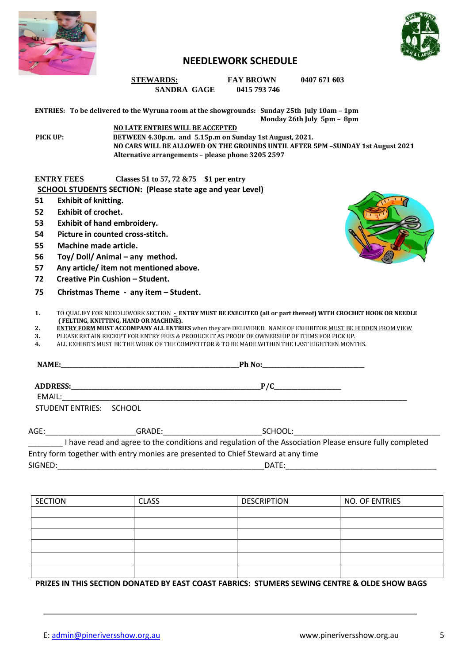



### **NEEDLEWORK SCHEDULE**

**STEWARDS: FAY BROWN** 0407 671 603  **SANDRA GAGE 0415 793 746** 

**ENTRIES: To be delivered to the Wyruna room at the showgrounds: Sunday 25th July 10am – 1pm Monday 26th July 5pm – 8pm NO LATE ENTRIES WILL BE ACCEPTED**

**PICK UP: BETWEEN 4.30p.m. and 5.15p.m on Sunday 1st August, 2021. NO CARS WILL BE ALLOWED ON THE GROUNDS UNTIL AFTER 5PM –SUNDAY 1st August 2021 Alternative arrangements** – **please phone 3205 2597**

#### **ENTRY FEES Classes 51 to 57, 72 &75 \$1 per entry SCHOOL STUDENTS SECTION: (Please state age and year Level)**

- **51 Exhibit of knitting.**
- **52 Exhibit of crochet.**
- **53 Exhibit of hand embroidery.**
- **54 Picture in counted cross-stitch.**
- **55 Machine made article.**
- **56** Toy/ Doll/ Animal any method.
- **57 Any article/ item not mentioned above.**
- **72 Creative Pin Cushion – Student.**
- **75 Christmas Theme any item – Student**.



- **1.** TO QUALIFY FOR NEEDLEWORK SECTION **- ENTRY MUST BE EXECUTED (all or part thereof) WITH CROCHET HOOK OR NEEDLE ( FELTING, KNITTING, HAND OR MACHINE).**
- **2. ENTRY FORM MUST ACCOMPANY ALL ENTRIES** when they are DELIVERED. NAME OF EXHIBITOR MUST BE HIDDEN FROM VIEW
- **3.** PLEASE RETAIN RECEIPT FOR ENTRY FEES & PRODUCE IT AS PROOF OF OWNERSHIP OF ITEMS FOR PICK UP.
- **4.** ALL EXHIBITS MUST BE THE WORK OF THE COMPETITOR & TO BE MADE WITHIN THE LAST EIGHTEEN MONTHS.

| EMAIL:                  |                                                                                                                                                                                                                                | P/C                                                                                                                                                                                                                            |  |
|-------------------------|--------------------------------------------------------------------------------------------------------------------------------------------------------------------------------------------------------------------------------|--------------------------------------------------------------------------------------------------------------------------------------------------------------------------------------------------------------------------------|--|
| STUDENT ENTRIES: SCHOOL |                                                                                                                                                                                                                                |                                                                                                                                                                                                                                |  |
| AGE:                    | GRADE: the contract of the contract of the contract of the contract of the contract of the contract of the contract of the contract of the contract of the contract of the contract of the contract of the contract of the con | SCHOOL: A CONTROLLER CONTROLLER CONTROLLER CONTROLLER CONTROLLER CONTROLLER CONTROLLER CONTROLLER CONTROLLER CONTROLLER CONTROLLER CONTROLLER CONTROLLER CONTROLLER CONTROLLER CONTROLLER CONTROLLER CONTROLLER CONTROLLER CON |  |
|                         |                                                                                                                                                                                                                                | have read and agree to the conditions and regulation of the Association Please ensure fully completed                                                                                                                          |  |

Entry form together with entry monies are presented to Chief Steward at any time SIGNED:\_\_\_\_\_\_\_\_\_\_\_\_\_\_\_\_\_\_\_\_\_\_\_\_\_\_\_\_\_\_\_\_\_\_\_\_\_\_\_\_\_\_\_\_\_\_\_\_DATE:\_\_\_\_\_\_\_\_\_\_\_\_\_\_\_\_\_\_\_\_\_\_\_\_\_\_\_\_\_\_\_\_\_\_\_

| <b>SECTION</b> | <b>CLASS</b> | <b>DESCRIPTION</b> | NO. OF ENTRIES |
|----------------|--------------|--------------------|----------------|
|                |              |                    |                |
|                |              |                    |                |
|                |              |                    |                |
|                |              |                    |                |
|                |              |                    |                |
|                |              |                    |                |

**PRIZES IN THIS SECTION DONATED BY EAST COAST FABRICS: STUMERS SEWING CENTRE & OLDE SHOW BAGS**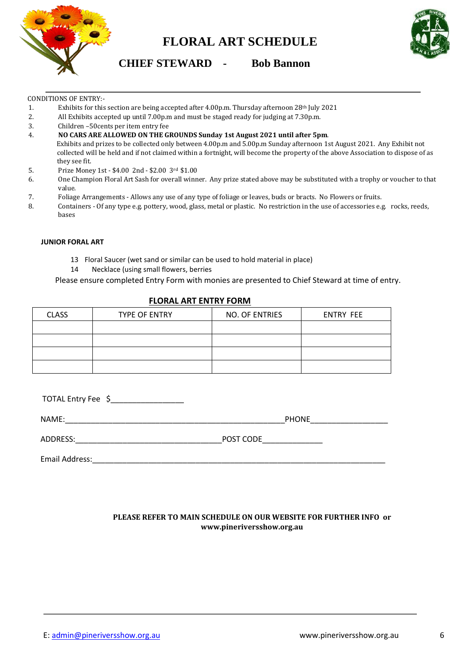

# **FLORAL ART SCHEDULE**



**CHIEF STEWARD - Bob Bannon** 

#### CONDITIONS OF ENTRY:-

- 1. Exhibits for this section are being accepted after 4.00p.m. Thursday afternoon 28<sup>th</sup> July 2021
- 2. All Exhibits accepted up until 7.00p.m and must be staged ready for judging at 7.30p.m.
- 3. Children –50cents per item entry fee
- 4. **NO CARS ARE ALLOWED ON THE GROUNDS Sunday 1st August 2021 until after 5pm**.

Exhibits and prizes to be collected only between 4.00p.m and 5.00p.m Sunday afternoon 1st August 2021. Any Exhibit not collected will be held and if not claimed within a fortnight, will become the property of the above Association to dispose of as they see fit.

- 5. Prize Money 1st \$4.00 2nd \$2.00 3rd \$1.00
- 6. One Champion Floral Art Sash for overall winner. Any prize stated above may be substituted with a trophy or voucher to that value.
- 7. Foliage Arrangements Allows any use of any type of foliage or leaves, buds or bracts. No Flowers or fruits.
- 8. Containers Of any type e.g. pottery, wood, glass, metal or plastic. No restriction in the use of accessories e.g. rocks, reeds, bases

#### **JUNIOR FORAL ART**

- 13 Floral Saucer (wet sand or similar can be used to hold material in place)
- 14 Necklace (using small flowers, berries

Please ensure completed Entry Form with monies are presented to Chief Steward at time of entry.

| <b>CLASS</b> | <b>TYPE OF ENTRY</b> | NO. OF ENTRIES | ENTRY FEE |
|--------------|----------------------|----------------|-----------|
|              |                      |                |           |
|              |                      |                |           |
|              |                      |                |           |
|              |                      |                |           |

### **FLORAL ART ENTRY FORM**

| TOTAL Entry Fee \$ |              |
|--------------------|--------------|
| NAME:              | <b>PHONE</b> |
| ADDRESS:           | POST CODE    |
| Email Address:     |              |

### **PLEASE REFER TO MAIN SCHEDULE ON OUR WEBSITE FOR FURTHER INFO or www.pineriversshow.org.au**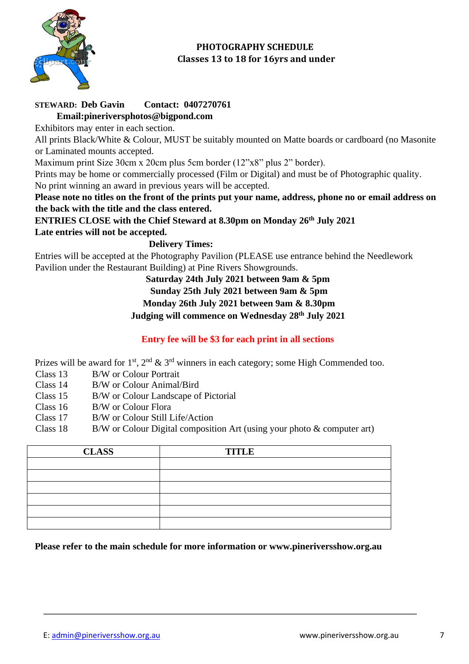

# **PHOTOGRAPHY SCHEDULE Classes 13 to 18 for 16yrs and under**

# **STEWARD: Deb Gavin Contact: 0407270761**

**Email:pineriversphotos@bigpond.com** 

Exhibitors may enter in each section.

All prints Black/White & Colour, MUST be suitably mounted on Matte boards or cardboard (no Masonite or Laminated mounts accepted.

Maximum print Size 30cm x 20cm plus 5cm border (12"x8" plus 2" border).

Prints may be home or commercially processed (Film or Digital) and must be of Photographic quality. No print winning an award in previous years will be accepted.

**Please note no titles on the front of the prints put your name, address, phone no or email address on the back with the title and the class entered.** 

**ENTRIES CLOSE with the Chief Steward at 8.30pm on Monday 26th July 2021**

**Late entries will not be accepted.** 

### **Delivery Times:**

Entries will be accepted at the Photography Pavilion (PLEASE use entrance behind the Needlework Pavilion under the Restaurant Building) at Pine Rivers Showgrounds.

# **Saturday 24th July 2021 between 9am & 5pm**

**Sunday 25th July 2021 between 9am & 5pm** 

**Monday 26th July 2021 between 9am & 8.30pm** 

**Judging will commence on Wednesday 28th July 2021**

# **Entry fee will be \$3 for each print in all sections**

Prizes will be award for  $1^{st}$ ,  $2^{nd}$  &  $3^{rd}$  winners in each category; some High Commended too.

- Class 13 B/W or Colour Portrait
- Class 14 B/W or Colour Animal/Bird
- Class 15 B/W or Colour Landscape of Pictorial
- Class 16 B/W or Colour Flora
- Class 17 B/W or Colour Still Life/Action
- Class 18 B/W or Colour Digital composition Art (using your photo  $\&$  computer art)

| <b>CLASS</b> | <b>TITLE</b> |
|--------------|--------------|
|              |              |
|              |              |
|              |              |
|              |              |
|              |              |
|              |              |

**Please refer to the main schedule for more information or www.pineriversshow.org.au**